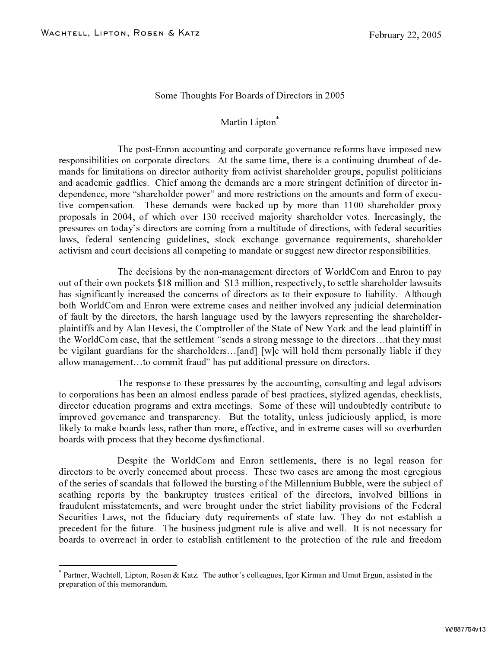## Some Thoughts For Boards of Directors in 2005

## Martin Lipton<sup>\*</sup>

The post-Enron accounting and corporate governance reforms have imposed new responsibilities on corporate directors. At the same time, there is a continuing drumbeat of demands for limitations on director authority from activist shareholder groups, populist politicians and academic gadflies. Chief among the demands are a more stringent definition of director independence, more "shareholder power" and more restrictions on the amounts and form of executive compensation. These demands were backed up by more than 1100 shareholder proxy proposals in 2004, of which over 130 received majority shareholder votes. Increasingly, the pressures on today's directors are coming from a multitude of directions, with federal securities laws, federal sentencing guidelines, stock exchange governance requirements, shareholder activism and court decisions all competing to mandate or suggest new director responsibilities.

The decisions by the non-management directors of WorldCom and Enron to pay out of their own pockets \$18 million and \$13 million, respectively, to settle shareholder lawsuits has significantly increased the concerns of directors as to their exposure to liability. Although both WorldCom and Enron were extreme cases and neither involved any judicial determination of fault by the directors, the harsh language used by the lawyers representing the shareholderplaintiffs and by Alan Hevesi, the Comptroller of the State of New York and the lead plaintiff in the WorldCom case, that the settlement "sends a strong message to the directors...that they must be vigilant guardians for the shareholders...[and] [w]e will hold them personally liable if they allow management...to commit fraud" has put additional pressure on directors.

The response to these pressures by the accounting, consulting and legal advisors to corporations has been an almost endless parade of best practices, stylized agendas, checklists, director education programs and extra meetings. Some of these will undoubtedly contribute to improved governance and transparency. But the totality, unless judiciously applied, is more likely to make boards less, rather than more, effective, and in extreme cases will so overburden boards with process that they become dysfunctional.

Despite the WorldCom and Enron settlements, there is no legal reason for directors to be overly concerned about process. These two cases are among the most egregious of the series of scandals that followed the bursting of the Millennium Bubble, were the subject of scathing reports by the bankruptcy trustees critical of the directors, involved billions in fraudulent misstatements, and were brought under the strict liability provisions of the Federal Securities Laws, not the fiduciary duty requirements of state law. They do not establish a precedent for the future. The business judgment rule is alive and well. It is not necessary for boards to overreact in order to establish entitlement to the protection of the rule and freedom

 $^*$  Partner, Wachtell, Lipton, Rosen & Katz. The author's colleagues, Igor Kirman and Umut Ergun, assisted in the preparation of this memorandum.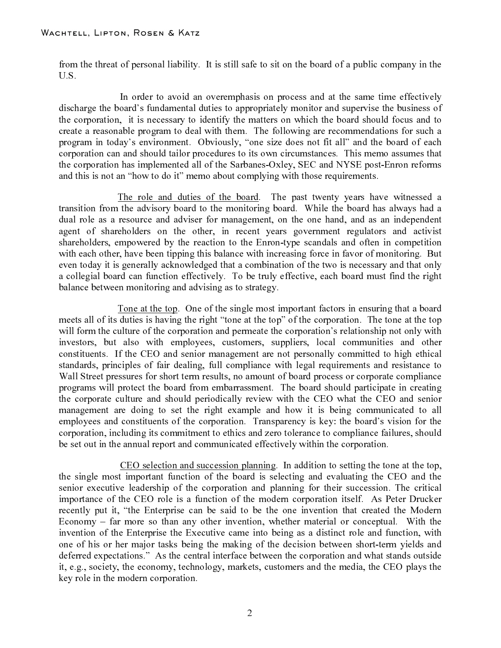from the threat of personal liability. It is still safe to sit on the board of a public company in the U.S.

In order to avoid an overemphasis on process and at the same time effectively discharge the board's fundamental duties to appropriately monitor and supervise the business of the corporation, it is necessary to identify the matters on which the board should focus and to create a reasonable program to deal with them. The following are recommendations for such a program in today's environment. Obviously, "one size does not fit all" and the board of each corporation can and should tailor procedures to its own circumstances. This memo assumes that the corporation has implemented all of the Sarbanes-Oxley, SEC and NYSE post-Enron reforms and this is not an "how to do it" memo about complying with those requirements.

The role and duties of the board. The past twenty years have witnessed a transition from the advisory board to the monitoring board. While the board has always had a dual role as a resource and adviser for management, on the one hand, and as an independent agent of shareholders on the other, in recent years government regulators and activist shareholders, empowered by the reaction to the Enron-type scandals and often in competition with each other, have been tipping this balance with increasing force in favor of monitoring. But even today it is generally acknowledged that a combination of the two is necessary and that only a collegial board can function effectively. To be truly effective, each board must find the right balance between monitoring and advising as to strategy.

Tone at the top. One of the single most important factors in ensuring that a board meets all of its duties is having the right "tone at the top" of the corporation. The tone at the top will form the culture of the corporation and permeate the corporation's relationship not only with investors, but also with employees, customers, suppliers, local communities and other constituents. If the CEO and senior management are not personally committed to high ethical standards, principles of fair dealing, full compliance with legal requirements and resistance to Wall Street pressures for short term results, no amount of board process or corporate compliance programs will protect the board from embarrassment. The board should participate in creating the corporate culture and should periodically review with the CEO what the CEO and senior management are doing to set the right example and how it is being communicated to all employees and constituents of the corporation. Transparency is key: the board's vision for the corporation, including its commitment to ethics and zero tolerance to compliance failures, should be set out in the annual report and communicated effectively within the corporation.

CEO selection and succession planning. In addition to setting the tone at the top, the single most important function of the board is selecting and evaluating the CEO and the senior executive leadership of the corporation and planning for their succession. The critical importance of the CEO role is a function of the modern corporation itself. As Peter Drucker recently put it, "the Enterprise can be said to be the one invention that created the Modern Economy  $-$  far more so than any other invention, whether material or conceptual. With the invention of the Enterprise the Executive came into being as a distinct role and function, with one of his or her major tasks being the making of the decision between short-term yields and deferred expectations." As the central interface between the corporation and what stands outside it, e.g., society, the economy, technology, markets, customers and the media, the CEO plays the key role in the modern corporation.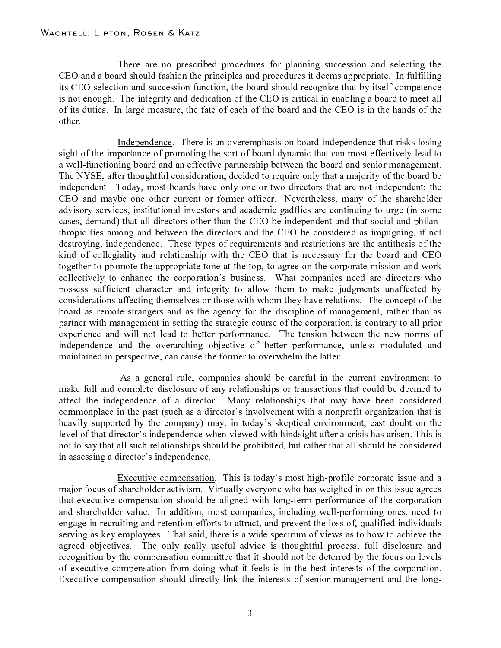There are no prescribed procedures for planning succession and selecting the CEO and a board should fashion the principles and procedures it deems appropriate. In fulfilling its CEO selection and succession function, the board should recognize that by itself competence is not enough. The integrity and dedication of the CEO is critical in enabling a board to meet all of its duties. In large measure, the fate of each of the board and the CEO is in the hands of the other.

Independence. There is an overemphasis on board independence that risks losing sight of the importance of promoting the sort of board dynamic that can most effectively lead to a well-functioning board and an effective partnership between the board and senior management. The NYSE, after thoughtful consideration, decided to require only that a majority of the board be independent. Today, most boards have only one or two directors that are not independent: the CEO and maybe one other current or former officer. Nevertheless, many of the shareholder advisory services, institutional investors and academic gadflies are continuing to urge (in some cases, demand) that all directors other than the CEO be independent and that social and philanthropic ties among and between the directors and the CEO be considered as impugning, if not destroying, independence. These types of requirements and restrictions are the antithesis of the kind of collegiality and relationship with the CEO that is necessary for the board and CEO together to promote the appropriate tone at the top, to agree on the corporate mission and work collectively to enhance the corporation's business. What companies need are directors who possess sufficient character and integrity to allow them to make judgments unaffected by considerations affecting themselves or those with whom they have relations. The concept of the board as remote strangers and as the agency for the discipline of management, rather than as partner with management in setting the strategic course of the corporation, is contrary to all prior experience and will not lead to better performance. The tension between the new norms of independence and the overarching objective of better performance, unless modulated and maintained in perspective, can cause the former to overwhelm the latter.

As a general rule, companies should be careful in the current environment to make full and complete disclosure of any relationships or transactions that could be deemed to affect the independence of a director. Many relationships that may have been considered commonplace in the past (such as a director's involvement with a nonprofit organization that is heavily supported by the company) may, in today's skeptical environment, cast doubt on the level of that director's independence when viewed with hindsight after a crisis has arisen. This is not to say that all such relationships should be prohibited, but rather that all should be considered in assessing a director's independence.

Executive compensation. This is today's most high-profile corporate issue and a major focus of shareholder activism. Virtually everyone who has weighed in on this issue agrees that executive compensation should be aligned with long-term performance of the corporation and shareholder value. In addition, most companies, including well-performing ones, need to engage in recruiting and retention efforts to attract, and prevent the loss of, qualified individuals serving as key employees. That said, there is a wide spectrum of views as to how to achieve the agreed objectives. The only really useful advice is thoughtful process, full disclosure and recognition by the compensation committee that it should not be deterred by the focus on levels of executive compensation from doing what it feels is in the best interests of the corporation. Executive compensation should directly link the interests of senior management and the long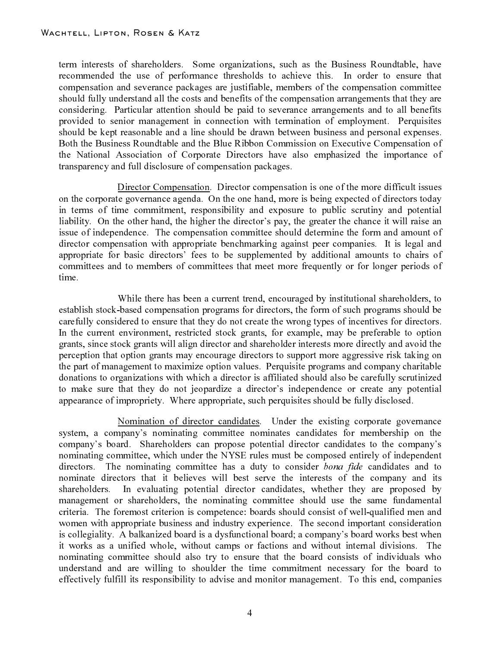term interests of shareholders. Some organizations, such as the Business Roundtable, have recommended the use of performance thresholds to achieve this. In order to ensure that compensation and severance packages are justifiable, members of the compensation committee should fully understand all the costs and benefits of the compensation arrangements that they are considering. Particular attention should be paid to severance arrangements and to all benefits provided to senior management in connection with termination of employment. Perquisites should be kept reasonable and a line should be drawn between business and personal expenses. Both the Business Roundtable and the Blue Ribbon Commission on Executive Compensation of the National Association of Corporate Directors have also emphasized the importance of transparency and full disclosure of compensation packages.

Director Compensation. Director compensation is one of the more difficult issues on the corporate governance agenda. On the one hand, more is being expected of directors today in terms of time commitment, responsibility and exposure to public scrutiny and potential liability. On the other hand, the higher the director's pay, the greater the chance it will raise an issue of independence. The compensation committee should determine the form and amount of director compensation with appropriate benchmarking against peer companies. It is legal and appropriate for basic directors' fees to be supplemented by additional amounts to chairs of committees and to members of committees that meet more frequently or for longer periods of time.

While there has been a current trend, encouraged by institutional shareholders, to establish stock-based compensation programs for directors, the form of such programs should be carefully considered to ensure that they do not create the wrong types of incentives for directors. In the current environment, restricted stock grants, for example, may be preferable to option grants, since stock grants will align director and shareholder interests more directly and avoid the perception that option grants may encourage directors to support more aggressive risk taking on the part of management to maximize option values. Perquisite programs and company charitable donations to organizations with which a director is affiliated should also be carefully scrutinized to make sure that they do not jeopardize a director's independence or create any potential appearance of impropriety. Where appropriate, such perquisites should be fully disclosed.

Nomination of director candidates. Under the existing corporate governance system, a company's nominating committee nominates candidates for membership on the company's board. Shareholders can propose potential director candidates to the company's nominating committee, which under the NYSE rules must be composed entirely of independent directors. The nominating committee has a duty to consider *bona fide* candidates and to nominate directors that it believes will best serve the interests of the company and its shareholders. In evaluating potential director candidates, whether they are proposed by management or shareholders, the nominating committee should use the same fundamental criteria. The foremost criterion is competence: boards should consist of well-qualified men and women with appropriate business and industry experience. The second important consideration is collegiality. A balkanized board is a dysfunctional board; a company's board works best when it works as a unified whole, without camps or factions and without internal divisions. The nominating committee should also try to ensure that the board consists of individuals who understand and are willing to shoulder the time commitment necessary for the board to effectively fulfill its responsibility to advise and monitor management. To this end, companies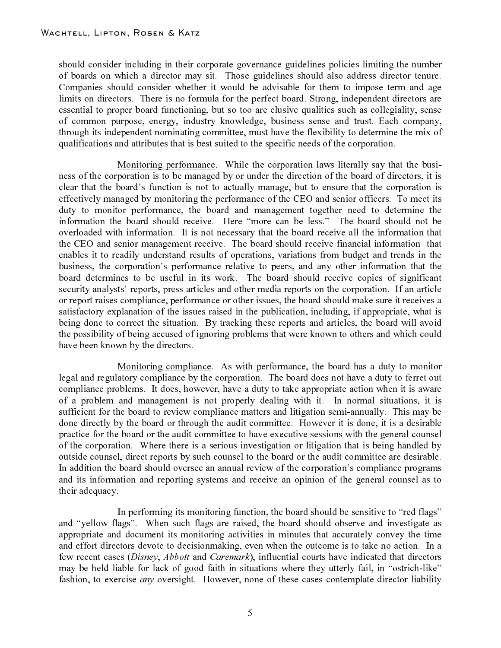should consider including in their corporate governance guidelines policies limiting the number of boards on which a director may sit. Those guidelines should also address director tenure. Companies should consider whether it would be advisable for them to impose term and age limits on directors. There is no formula for the perfect board. Strong, independent directors are essential to proper board functioning, but so too are elusive qualities such as collegiality, sense of common purpose, energy, industry knowledge, business sense and trust. Each company, through its independent nominating committee, must have the flexibility to determine the mix of qualifications and attributes that is best suited to the specific needs of the corporation.

Monitoring performance. While the corporation laws literally say that the business of the corporation is to be managed by or under the direction of the board of directors, it is clear that the board's function is not to actually manage, but to ensure that the corporation is effectively managed by monitoring the performance of the CEO and senior officers. To meet its duty to monitor performance, the board and management together need to determine the information the board should receive. Here "more can be less." The board should not be overloaded with information. It is not necessary that the board receive all the information that the CEO and senior management receive. The board should receive financial information that enables it to readily understand results of operations, variations from budget and trends in the business, the corporation's performance relative to peers, and any other information that the board determines to be useful in its work. The board should receive copies of significant security analysts' reports, press articles and other media reports on the corporation. If an article or report raises compliance, performance or other issues, the board should make sure it receives a satisfactory explanation of the issues raised in the publication, including, if appropriate, what is being done to correct the situation. By tracking these reports and articles, the board will avoid the possibility of being accused of ignoring problems that were known to others and which could have been known by the directors.

Monitoring compliance. As with performance, the board has a duty to monitor legal and regulatory compliance by the corporation. The board does not have a duty to ferret out compliance problems. It does, however, have a duty to take appropriate action when it is aware of a problem and management is not properly dealing with it. In normal situations, it is sufficient for the board to review compliance matters and litigation semi-annually. This may be done directly by the board or through the audit committee. However it is done, it is a desirable practice for the board or the audit committee to have executive sessions with the general counsel of the corporation. Where there is a serious investigation or litigation that is being handled by outside counsel, direct reports by such counsel to the board or the audit committee are desirable. In addition the board should oversee an annual review of the corporation's compliance programs and its information and reporting systems and receive an opinion of the general counsel as to their adequacy.

In performing its monitoring function, the board should be sensitive to "red flags" and "yellow flags". When such flags are raised, the board should observe and investigate as appropriate and document its monitoring activities in minutes that accurately convey the time and effort directors devote to decision making, even when the outcome is to take no action. In a few recent cases (*Disney, Abbott* and *Caremark*), influential courts have indicated that directors may be held liable for lack of good faith in situations where they utterly fail, in "ostrich-like" fashion, to exercise *any* oversight. However, none of these cases contemplate director liability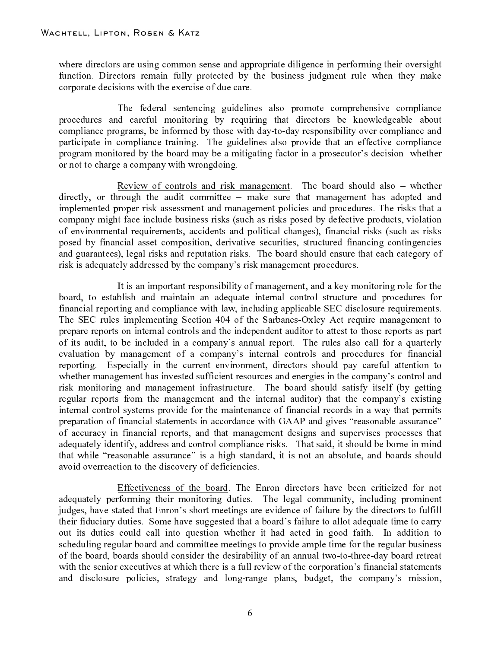where directors are using common sense and appropriate diligence in performing their oversight function. Directors remain fully protected by the business judgment rule when they make corporate decisions with the exercise of due care.

The federal sentencing guidelines also promote comprehensive compliance procedures and careful monitoring by requiring that directors be knowledgeable about compliance programs, be informed by those with day-to-day responsibility over compliance and participate in compliance training. The guidelines also provide that an effective compliance program monitored by the board may be a mitigating factor in a prosecutor's decision whether or not to charge a company with wrongdoing.

Review of controls and risk management. The board should also – whether directly, or through the audit committee - make sure that management has adopted and implemented proper risk assessment and management policies and procedures. The risks that a company might face include business risks (such as risks posed by defective products, violation of environmental requirements, accidents and political changes), financial risks (such as risks posed by financial asset composition, derivative securities, structured financing contingencies and guarantees), legal risks and reputation risks. The board should ensure that each category of risk is adequately addressed by the company's risk management procedures.

It is an important responsibility of management, and a key monitoring role for the board, to establish and maintain an adequate internal control structure and procedures for financial reporting and compliance with law, including applicable SEC disclosure requirements. The SEC rules implementing Section 404 of the Sarbanes-Oxley Act require management to prepare reports on internal controls and the independent auditor to attest to those reports as part of its audit, to be included in a company's annual report. The rules also call for a quarterly evaluation by management of a company's internal controls and procedures for financial reporting. Especially in the current environment, directors should pay careful attention to whether management has invested sufficient resources and energies in the company's control and risk monitoring and management infrastructure. The board should satisfy itself (by getting regular reports from the management and the internal auditor) that the company's existing internal control systems provide for the maintenance of financial records in a way that permits preparation of financial statements in accordance with GAAP and gives "reasonable assurance" of accuracy in financial reports, and that management designs and supervises processes that adequately identify, address and control compliance risks. That said, it should be borne in mind that while "reasonable assurance" is a high standard, it is not an absolute, and boards should avoid overreaction to the discovery of deficiencies.

Effectiveness of the board. The Enron directors have been criticized for not adequately performing their monitoring duties. The legal community, including prominent judges, have stated that Enron's short meetings are evidence of failure by the directors to fulfill their fiduciary duties. Some have suggested that a board's failure to allot adequate time to carry out its duties could call into question whether it had acted in good faith. In addition to scheduling regular board and committee meetings to provide ample time for the regular business of the board, boards should consider the desirability of an annual two-to-three-day board retreat with the senior executives at which there is a full review of the corporation's financial statements and disclosure policies, strategy and long-range plans, budget, the company's mission,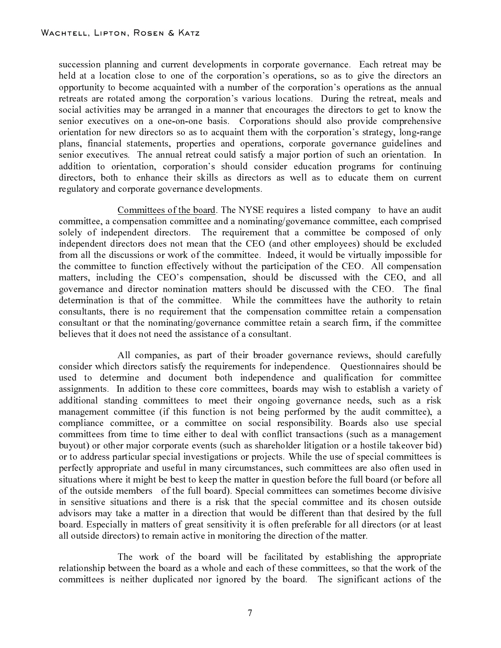succession planning and current developments in corporate governance. Each retreat may be held at a location close to one of the corporation's operations, so as to give the directors an opportunity to become acquainted with a number of the corporation's operations as the annual retreats are rotated among the corporation's various locations. During the retreat, meals and social activities may be arranged in a manner that encourages the directors to get to know the senior executives on a one-on-one basis. Corporations should also provide comprehensive orientation for new directors so as to acquaint them with the corporation's strategy, long-range plans, financial statements, properties and operations, corporate governance guidelines and senior executives. The annual retreat could satisfy a major portion of such an orientation. In addition to orientation, corporation's should consider education programs for continuing directors, both to enhance their skills as directors as well as to educate them on current regulatory and corporate governance developments.

Committees of the board. The NYSE requires a listed company to have an audit committee, a compensation committee and a nominating/governance committee, each comprised solely of independent directors. The requirement that a committee be composed of only independent directors does not mean that the CEO (and other employees) should be excluded from all the discussions or work of the committee. Indeed, it would be virtually impossible for the committee to function effectively without the participation of the CEO. All compensation matters, including the CEO's compensation, should be discussed with the CEO, and all governance and director nomination matters should be discussed with the CEO. The final determination is that of the committee. While the committees have the authority to retain consultants, there is no requirement that the compensation committee retain a compensation consultant or that the nominating/governance committee retain a search firm, if the committee believes that it does not need the assistance of a consultant.

All companies, as part of their broader governance reviews, should carefully consider which directors satisfy the requirements for independence. Ouestionnaires should be used to determine and document both independence and qualification for committee assignments. In addition to these core committees, boards may wish to establish a variety of additional standing committees to meet their ongoing governance needs, such as a risk management committee (if this function is not being performed by the audit committee), a compliance committee, or a committee on social responsibility. Boards also use special committees from time to time either to deal with conflict transactions (such as a management buyout) or other major corporate events (such as shareholder litigation or a hostile takeover bid) or to address particular special investigations or projects. While the use of special committees is perfectly appropriate and useful in many circumstances, such committees are also often used in situations where it might be best to keep the matter in question before the full board (or before all of the outside members of the full board). Special committees can sometimes become divisive in sensitive situations and there is a risk that the special committee and its chosen outside advisors may take a matter in a direction that would be different than that desired by the full board. Especially in matters of great sensitivity it is often preferable for all directors (or at least all outside directors) to remain active in monitoring the direction of the matter.

The work of the board will be facilitated by establishing the appropriate relationship between the board as a whole and each of these committees, so that the work of the committees is neither duplicated nor ignored by the board. The significant actions of the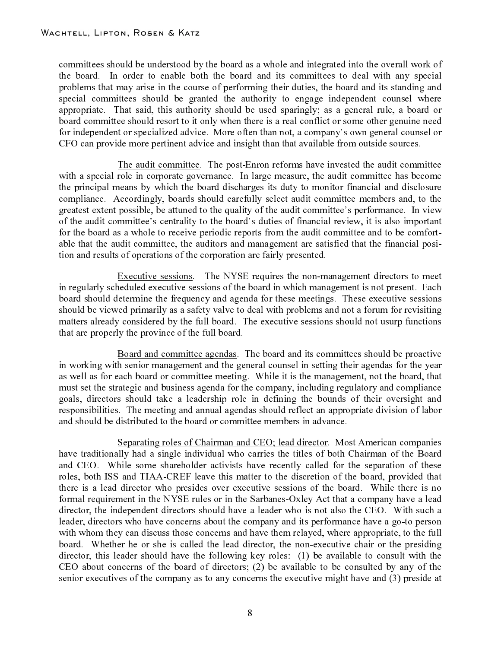committees should be understood by the board as a whole and integrated into the overall work of the board. In order to enable both the board and its committees to deal with any special problems that may arise in the course of performing their duties, the board and its standing and special committees should be granted the authority to engage independent counsel where appropriate. That said, this authority should be used sparingly; as a general rule, a board or board committee should resort to it only when there is a real conflict or some other genuine need for independent or specialized advice. More often than not, a company's own general counsel or CFO can provide more pertinent advice and insight than that available from outside sources.

The audit committee. The post-Enron reforms have invested the audit committee with a special role in corporate governance. In large measure, the audit committee has become the principal means by which the board discharges its duty to monitor financial and disclosure compliance. Accordingly, boards should carefully select audit committee members and, to the greatest extent possible, be attuned to the quality of the audit committee's performance. In view of the audit committee's centrality to the board's duties of financial review, it is also important for the board as a whole to receive periodic reports from the audit committee and to be comfortable that the audit committee, the auditors and management are satisfied that the financial position and results of operations of the corporation are fairly presented.

Executive sessions. The NYSE requires the non-management directors to meet in regularly scheduled executive sessions of the board in which management is not present. Each board should determine the frequency and agenda for these meetings. These executive sessions should be viewed primarily as a safety valve to deal with problems and not a forum for revisiting matters already considered by the full board. The executive sessions should not usurp functions that are properly the province of the full board.

Board and committee agendas. The board and its committees should be proactive in working with senior management and the general counsel in setting their agendas for the year as well as for each board or committee meeting. While it is the management, not the board, that must set the strategic and business agenda for the company, including regulatory and compliance goals, directors should take a leadership role in defining the bounds of their oversight and responsibilities. The meeting and annual agendas should reflect an appropriate division of labor and should be distributed to the board or committee members in advance.

Separating roles of Chairman and CEO; lead director. Most American companies have traditionally had a single individual who carries the titles of both Chairman of the Board and CEO. While some shareholder activists have recently called for the separation of these roles, both ISS and TIAA-CREF leave this matter to the discretion of the board, provided that there is a lead director who presides over executive sessions of the board. While there is no formal requirement in the NYSE rules or in the Sarbanes-Oxley Act that a company have a lead director, the independent directors should have a leader who is not also the CEO. With such a leader, directors who have concerns about the company and its performance have a go-to person with whom they can discuss those concerns and have them relayed, where appropriate, to the full board. Whether he or she is called the lead director, the non-executive chair or the presiding director, this leader should have the following key roles: (1) be available to consult with the CEO about concerns of the board of directors; (2) be available to be consulted by any of the senior executives of the company as to any concerns the executive might have and (3) preside at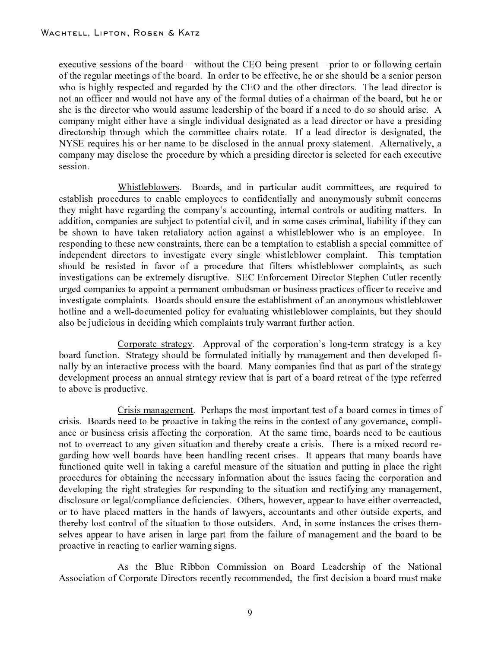executive sessions of the board – without the CEO being present – prior to or following certain of the regular meetings of the board. In order to be effective, he or she should be a senior person who is highly respected and regarded by the CEO and the other directors. The lead director is not an officer and would not have any of the formal duties of a chairman of the board, but he or she is the director who would assume leadership of the board if a need to do so should arise. A company might either have a single individual designated as a lead director or have a presiding directorship through which the committee chairs rotate. If a lead director is designated, the NYSE requires his or her name to be disclosed in the annual proxy statement. Alternatively, a company may disclose the procedure by which a presiding director is selected for each executive session.

Boards, and in particular audit committees, are required to Whistleblowers. establish procedures to enable employees to confidentially and anonymously submit concerns they might have regarding the company's accounting, internal controls or auditing matters. In addition, companies are subject to potential civil, and in some cases criminal, liability if they can be shown to have taken retaliatory action against a whistleblower who is an employee. In responding to these new constraints, there can be a temptation to establish a special committee of independent directors to investigate every single whistleblower complaint. This temptation should be resisted in favor of a procedure that filters whistleblower complaints, as such investigations can be extremely disruptive. SEC Enforcement Director Stephen Cutler recently urged companies to appoint a permanent ombudsman or business practices officer to receive and investigate complaints. Boards should ensure the establishment of an anonymous whistleblower hotline and a well-documented policy for evaluating whistleblower complaints, but they should also be judicious in deciding which complaints truly warrant further action.

Corporate strategy. Approval of the corporation's long-term strategy is a key board function. Strategy should be formulated initially by management and then developed finally by an interactive process with the board. Many companies find that as part of the strategy development process an annual strategy review that is part of a board retreat of the type referred to above is productive.

Crisis management. Perhaps the most important test of a board comes in times of crisis. Boards need to be proactive in taking the reins in the context of any governance, compliance or business crisis affecting the corporation. At the same time, boards need to be cautious not to overreact to any given situation and thereby create a crisis. There is a mixed record regarding how well boards have been handling recent crises. It appears that many boards have functioned quite well in taking a careful measure of the situation and putting in place the right procedures for obtaining the necessary information about the issues facing the corporation and developing the right strategies for responding to the situation and rectifying any management, disclosure or legal/compliance deficiencies. Others, however, appear to have either overreacted, or to have placed matters in the hands of lawyers, accountants and other outside experts, and thereby lost control of the situation to those outsiders. And, in some instances the crises themselves appear to have arisen in large part from the failure of management and the board to be proactive in reacting to earlier warning signs.

As the Blue Ribbon Commission on Board Leadership of the National Association of Corporate Directors recently recommended, the first decision a board must make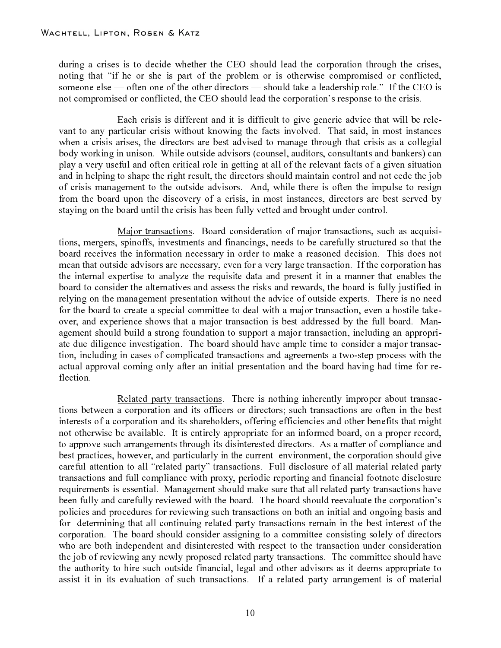during a crises is to decide whether the CEO should lead the corporation through the crises, noting that "if he or she is part of the problem or is otherwise compromised or conflicted, someone else — often one of the other directors — should take a leadership role." If the CEO is not compromised or conflicted, the CEO should lead the corporation's response to the crisis.

Each crisis is different and it is difficult to give generic advice that will be relevant to any particular crisis without knowing the facts involved. That said, in most instances when a crisis arises, the directors are best advised to manage through that crisis as a collegial body working in unison. While outside advisors (counsel, auditors, consultants and bankers) can play a very useful and often critical role in getting at all of the relevant facts of a given situation and in helping to shape the right result, the directors should maintain control and not cede the job of crisis management to the outside advisors. And, while there is often the impulse to resign from the board upon the discovery of a crisis, in most instances, directors are best served by staying on the board until the crisis has been fully vetted and brought under control.

Major transactions. Board consideration of major transactions, such as acquisitions, mergers, spinoffs, investments and financings, needs to be carefully structured so that the board receives the information necessary in order to make a reasoned decision. This does not mean that outside advisors are necessary, even for a very large transaction. If the corporation has the internal expertise to analyze the requisite data and present it in a manner that enables the board to consider the alternatives and assess the risks and rewards, the board is fully justified in relying on the management presentation without the advice of outside experts. There is no need for the board to create a special committee to deal with a major transaction, even a hostile takeover, and experience shows that a major transaction is best addressed by the full board. Management should build a strong foundation to support a major transaction, including an appropriate due diligence investigation. The board should have ample time to consider a major transaction, including in cases of complicated transactions and agreements a two-step process with the actual approval coming only after an initial presentation and the board having had time for reflection.

Related party transactions. There is nothing inherently improper about transactions between a corporation and its officers or directors; such transactions are often in the best interests of a corporation and its shareholders, offering efficiencies and other benefits that might not otherwise be available. It is entirely appropriate for an informed board, on a proper record, to approve such arrangements through its disinterested directors. As a matter of compliance and best practices, however, and particularly in the current environment, the corporation should give careful attention to all "related party" transactions. Full disclosure of all material related party transactions and full compliance with proxy, periodic reporting and financial footnote disclosure requirements is essential. Management should make sure that all related party transactions have been fully and carefully reviewed with the board. The board should reevaluate the corporation's policies and procedures for reviewing such transactions on both an initial and ongoing basis and for determining that all continuing related party transactions remain in the best interest of the corporation. The board should consider assigning to a committee consisting solely of directors who are both independent and disinterested with respect to the transaction under consideration the job of reviewing any newly proposed related party transactions. The committee should have the authority to hire such outside financial, legal and other advisors as it deems appropriate to assist it in its evaluation of such transactions. If a related party arrangement is of material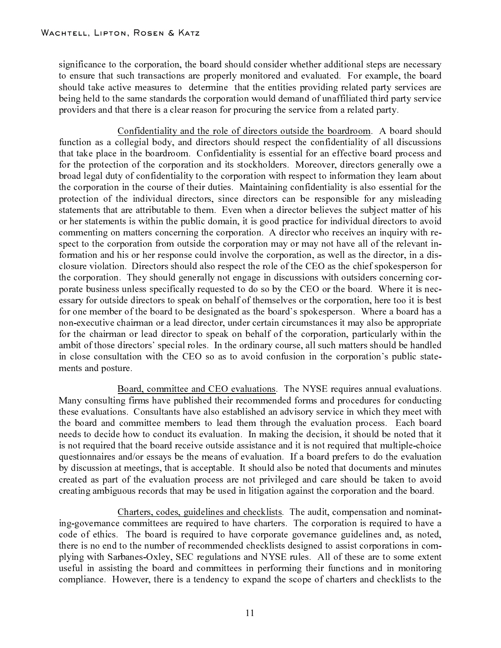significance to the corporation, the board should consider whether additional steps are necessary to ensure that such transactions are properly monitored and evaluated. For example, the board should take active measures to determine that the entities providing related party services are being held to the same standards the corporation would demand of unaffiliated third party service providers and that there is a clear reason for procuring the service from a related party.

Confidentiality and the role of directors outside the boardroom. A board should function as a collegial body, and directors should respect the confidentiality of all discussions that take place in the boardroom. Confidentiality is essential for an effective board process and for the protection of the corporation and its stockholders. Moreover, directors generally owe a broad legal duty of confidentiality to the corporation with respect to information they learn about the corporation in the course of their duties. Maintaining confidentiality is also essential for the protection of the individual directors, since directors can be responsible for any misleading statements that are attributable to them. Even when a director believes the subject matter of his or her statements is within the public domain, it is good practice for individual directors to avoid commenting on matters concerning the corporation. A director who receives an inquiry with respect to the corporation from outside the corporation may or may not have all of the relevant information and his or her response could involve the corporation, as well as the director, in a disclosure violation. Directors should also respect the role of the CEO as the chief spokesperson for the corporation. They should generally not engage in discussions with outsiders concerning corporate business unless specifically requested to do so by the CEO or the board. Where it is necessary for outside directors to speak on behalf of themselves or the corporation, here too it is best for one member of the board to be designated as the board's spokesperson. Where a board has a non-executive chairman or a lead director, under certain circumstances it may also be appropriate for the chairman or lead director to speak on behalf of the corporation, particularly within the ambit of those directors' special roles. In the ordinary course, all such matters should be handled in close consultation with the CEO so as to avoid confusion in the corporation's public statements and posture.

Board, committee and CEO evaluations. The NYSE requires annual evaluations. Many consulting firms have published their recommended forms and procedures for conducting these evaluations. Consultants have also established an advisory service in which they meet with the board and committee members to lead them through the evaluation process. Each board needs to decide how to conduct its evaluation. In making the decision, it should be noted that it is not required that the board receive outside assistance and it is not required that multiple-choice questionnaires and/or essays be the means of evaluation. If a board prefers to do the evaluation by discussion at meetings, that is acceptable. It should also be noted that documents and minutes created as part of the evaluation process are not privileged and care should be taken to avoid creating ambiguous records that may be used in litigation against the corporation and the board.

Charters, codes, guidelines and checklists. The audit, compensation and nominating-governance committees are required to have charters. The corporation is required to have a code of ethics. The board is required to have corporate governance guidelines and, as noted, there is no end to the number of recommended checklists designed to assist corporations in complying with Sarbanes-Oxley, SEC regulations and NYSE rules. All of these are to some extent useful in assisting the board and committees in performing their functions and in monitoring compliance. However, there is a tendency to expand the scope of charters and checklists to the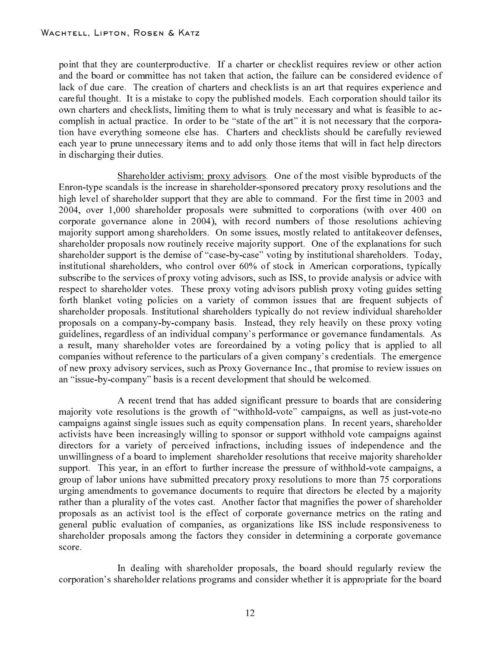point that they are counterproductive. If a charter or checklist requires review or other action and the board or committee has not taken that action, the failure can be considered evidence of lack of due care. The creation of charters and checklists is an art that requires experience and careful thought. It is a mistake to copy the published models. Each corporation should tailor its own charters and checklists, limiting them to what is truly necessary and what is feasible to accomplish in actual practice. In order to be "state of the art" it is not necessary that the corporation have everything someone else has. Charters and checklists should be carefully reviewed each year to prune unnecessary items and to add only those items that will in fact help directors in discharging their duties.

Shareholder activism; proxy advisors. One of the most visible byproducts of the Enron-type scandals is the increase in shareholder-sponsored precatory proxy resolutions and the high level of shareholder support that they are able to command. For the first time in 2003 and 2004, over 1,000 shareholder proposals were submitted to corporations (with over 400 on corporate governance alone in 2004), with record numbers of those resolutions achieving majority support among shareholders. On some issues, mostly related to antitake over defenses, shareholder proposals now routinely receive majority support. One of the explanations for such shareholder support is the demise of "case-by-case" voting by institutional shareholders. Today, institutional shareholders, who control over 60% of stock in American corporations, typically subscribe to the services of proxy voting advisors, such as ISS, to provide analysis or advice with respect to shareholder votes. These proxy voting advisors publish proxy voting guides setting forth blanket voting policies on a variety of common issues that are frequent subjects of shareholder proposals. Institutional shareholders typically do not review individual shareholder proposals on a company-by-company basis. Instead, they rely heavily on these proxy voting guidelines, regardless of an individual company's performance or governance fundamentals. As a result, many shareholder votes are foreordained by a voting policy that is applied to all companies without reference to the particulars of a given company's credentials. The emergence of new proxy advisory services, such as Proxy Governance Inc., that promise to review issues on an "issue-by-company" basis is a recent development that should be welcomed.

A recent trend that has added significant pressure to boards that are considering majority vote resolutions is the growth of "withhold-vote" campaigns, as well as just-vote-no campaigns against single issues such as equity compensation plans. In recent years, shareholder activists have been increasingly willing to sponsor or support withhold vote campaigns against directors for a variety of perceived infractions, including issues of independence and the unwillingness of a board to implement shareholder resolutions that receive majority shareholder support. This year, in an effort to further increase the pressure of withhold-vote campaigns, a group of labor unions have submitted precatory proxy resolutions to more than 75 corporations urging amendments to governance documents to require that directors be elected by a majority rather than a plurality of the votes cast. Another factor that magnifies the power of shareholder proposals as an activist tool is the effect of corporate governance metrics on the rating and general public evaluation of companies, as organizations like ISS include responsiveness to shareholder proposals among the factors they consider in determining a corporate governance score.

In dealing with shareholder proposals, the board should regularly review the corporation's shareholder relations programs and consider whether it is appropriate for the board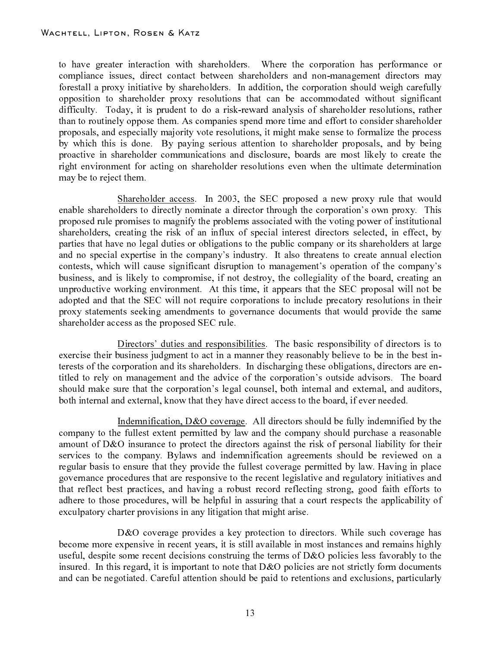to have greater interaction with shareholders. Where the corporation has performance or compliance issues, direct contact between shareholders and non-management directors may forestall a proxy initiative by shareholders. In addition, the corporation should weigh carefully opposition to shareholder proxy resolutions that can be accommodated without significant difficulty. Today, it is prudent to do a risk-reward analysis of shareholder resolutions, rather than to routinely oppose them. As companies spend more time and effort to consider shareholder proposals, and especially majority vote resolutions, it might make sense to formalize the process by which this is done. By paying serious attention to shareholder proposals, and by being proactive in shareholder communications and disclosure, boards are most likely to create the right environment for acting on shareholder resolutions even when the ultimate determination may be to reject them.

Shareholder access. In 2003, the SEC proposed a new proxy rule that would enable shareholders to directly nominate a director through the corporation's own proxy. This proposed rule promises to magnify the problems associated with the voting power of institutional shareholders, creating the risk of an influx of special interest directors selected, in effect, by parties that have no legal duties or obligations to the public company or its shareholders at large and no special expertise in the company's industry. It also threatens to create annual election contests, which will cause significant disruption to management's operation of the company's business, and is likely to compromise, if not destroy, the collegiality of the board, creating an unproductive working environment. At this time, it appears that the SEC proposal will not be adopted and that the SEC will not require corporations to include precatory resolutions in their proxy statements seeking amendments to governance documents that would provide the same shareholder access as the proposed SEC rule.

Directors' duties and responsibilities. The basic responsibility of directors is to exercise their business judgment to act in a manner they reasonably believe to be in the best interests of the corporation and its shareholders. In discharging these obligations, directors are entitled to rely on management and the advice of the corporation's outside advisors. The board should make sure that the corporation's legal counsel, both internal and external, and auditors, both internal and external, know that they have direct access to the board, if ever needed.

Indemnification, D&O coverage. All directors should be fully indemnified by the company to the fullest extent permitted by law and the company should purchase a reasonable amount of D&O insurance to protect the directors against the risk of personal liability for their services to the company. Bylaws and indemnification agreements should be reviewed on a regular basis to ensure that they provide the fullest coverage permitted by law. Having in place governance procedures that are responsive to the recent legislative and regulatory initiatives and that reflect best practices, and having a robust record reflecting strong, good faith efforts to adhere to those procedures, will be helpful in assuring that a court respects the applicability of exculpatory charter provisions in any litigation that might arise.

D&O coverage provides a key protection to directors. While such coverage has become more expensive in recent years, it is still available in most instances and remains highly useful, despite some recent decisions construing the terms of D&O policies less favorably to the insured. In this regard, it is important to note that D&O policies are not strictly form documents and can be negotiated. Careful attention should be paid to retentions and exclusions, particularly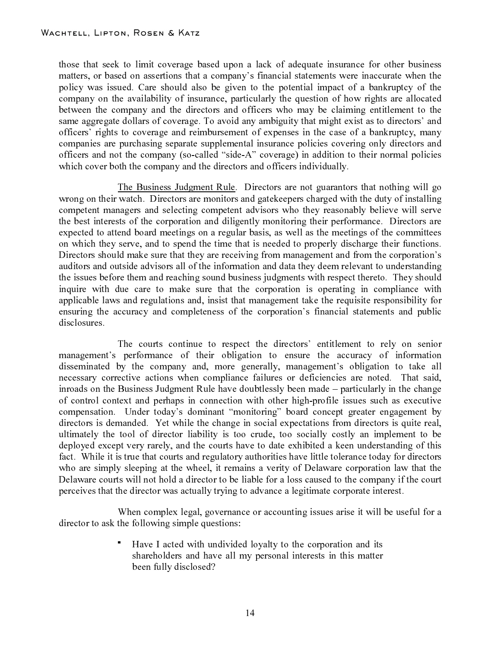those that seek to limit coverage based upon a lack of adequate insurance for other business matters, or based on assertions that a company's financial statements were inaccurate when the policy was issued. Care should also be given to the potential impact of a bankruptcy of the company on the availability of insurance, particularly the question of how rights are allocated between the company and the directors and officers who may be claiming entitlement to the same aggregate dollars of coverage. To avoid any ambiguity that might exist as to directors' and officers' rights to coverage and reimbursement of expenses in the case of a bankruptcy, many companies are purchasing separate supplemental insurance policies covering only directors and officers and not the company (so-called "side-A" coverage) in addition to their normal policies which cover both the company and the directors and officers individually.

The Business Judgment Rule. Directors are not guarantors that nothing will go wrong on their watch. Directors are monitors and gate keepers charged with the duty of installing competent managers and selecting competent advisors who they reasonably believe will serve the best interests of the corporation and diligently monitoring their performance. Directors are expected to attend board meetings on a regular basis, as well as the meetings of the committees on which they serve, and to spend the time that is needed to properly discharge their functions. Directors should make sure that they are receiving from management and from the corporation's auditors and outside advisors all of the information and data they deem relevant to understanding the issues before them and reaching sound business judgments with respect thereto. They should inquire with due care to make sure that the corporation is operating in compliance with applicable laws and regulations and, insist that management take the requisite responsibility for ensuring the accuracy and completeness of the corporation's financial statements and public disclosures.

The courts continue to respect the directors' entitlement to rely on senior management's performance of their obligation to ensure the accuracy of information disseminated by the company and, more generally, management's obligation to take all necessary corrective actions when compliance failures or deficiencies are noted. That said, inroads on the Business Judgment Rule have doubtlessly been made – particularly in the change of control context and perhaps in connection with other high-profile issues such as executive compensation. Under today's dominant "monitoring" board concept greater engagement by directors is demanded. Yet while the change in social expectations from directors is quite real, ultimately the tool of director liability is too crude, too socially costly an implement to be deployed except very rarely, and the courts have to date exhibited a keen understanding of this fact. While it is true that courts and regulatory authorities have little tolerance today for directors who are simply sleeping at the wheel, it remains a verity of Delaware corporation law that the Delaware courts will not hold a director to be liable for a loss caused to the company if the court perceives that the director was actually trying to advance a legitimate corporate interest.

When complex legal, governance or accounting issues arise it will be useful for a director to ask the following simple questions:

> Have I acted with undivided loyalty to the corporation and its shareholders and have all my personal interests in this matter been fully disclosed?